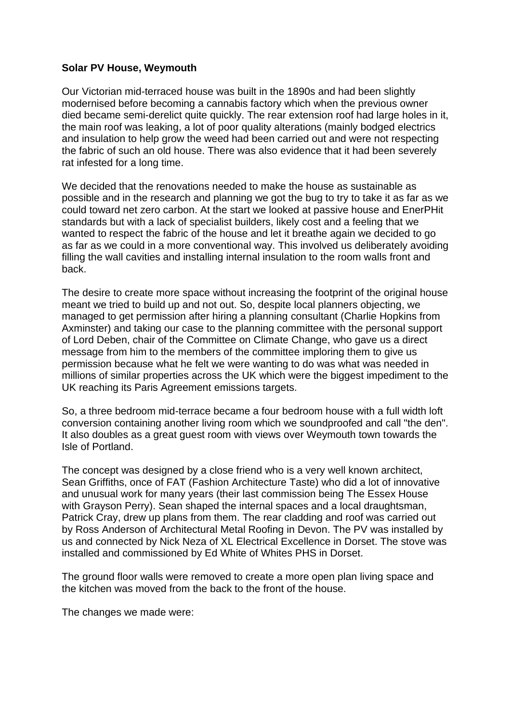## **Solar PV House, Weymouth**

Our Victorian mid-terraced house was built in the 1890s and had been slightly modernised before becoming a cannabis factory which when the previous owner died became semi-derelict quite quickly. The rear extension roof had large holes in it, the main roof was leaking, a lot of poor quality alterations (mainly bodged electrics and insulation to help grow the weed had been carried out and were not respecting the fabric of such an old house. There was also evidence that it had been severely rat infested for a long time.

We decided that the renovations needed to make the house as sustainable as possible and in the research and planning we got the bug to try to take it as far as we could toward net zero carbon. At the start we looked at passive house and EnerPHit standards but with a lack of specialist builders, likely cost and a feeling that we wanted to respect the fabric of the house and let it breathe again we decided to go as far as we could in a more conventional way. This involved us deliberately avoiding filling the wall cavities and installing internal insulation to the room walls front and back.

The desire to create more space without increasing the footprint of the original house meant we tried to build up and not out. So, despite local planners objecting, we managed to get permission after hiring a planning consultant (Charlie Hopkins from Axminster) and taking our case to the planning committee with the personal support of Lord Deben, chair of the Committee on Climate Change, who gave us a direct message from him to the members of the committee imploring them to give us permission because what he felt we were wanting to do was what was needed in millions of similar properties across the UK which were the biggest impediment to the UK reaching its Paris Agreement emissions targets.

So, a three bedroom mid-terrace became a four bedroom house with a full width loft conversion containing another living room which we soundproofed and call "the den". It also doubles as a great guest room with views over Weymouth town towards the Isle of Portland.

The concept was designed by a close friend who is a very well known architect, Sean Griffiths, once of FAT (Fashion Architecture Taste) who did a lot of innovative and unusual work for many years (their last commission being The Essex House with Grayson Perry). Sean shaped the internal spaces and a local draughtsman, Patrick Cray, drew up plans from them. The rear cladding and roof was carried out by Ross Anderson of Architectural Metal Roofing in Devon. The PV was installed by us and connected by Nick Neza of XL Electrical Excellence in Dorset. The stove was installed and commissioned by Ed White of Whites PHS in Dorset.

The ground floor walls were removed to create a more open plan living space and the kitchen was moved from the back to the front of the house.

The changes we made were: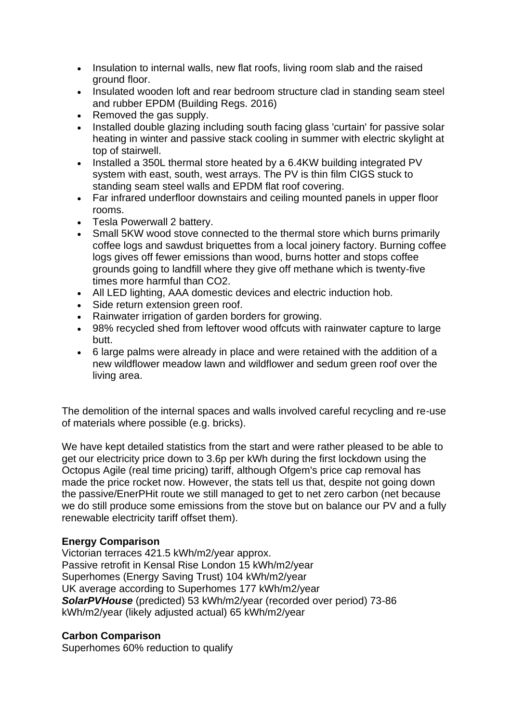- Insulation to internal walls, new flat roofs, living room slab and the raised ground floor.
- Insulated wooden loft and rear bedroom structure clad in standing seam steel and rubber EPDM (Building Regs. 2016)
- Removed the gas supply.
- Installed double glazing including south facing glass 'curtain' for passive solar heating in winter and passive stack cooling in summer with electric skylight at top of stairwell.
- Installed a 350L thermal store heated by a 6.4KW building integrated PV system with east, south, west arrays. The PV is thin film CIGS stuck to standing seam steel walls and EPDM flat roof covering.
- Far infrared underfloor downstairs and ceiling mounted panels in upper floor rooms.
- Tesla Powerwall 2 battery.
- Small 5KW wood stove connected to the thermal store which burns primarily coffee logs and sawdust briquettes from a local joinery factory. Burning coffee logs gives off fewer emissions than wood, burns hotter and stops coffee grounds going to landfill where they give off methane which is twenty-five times more harmful than CO2.
- All LED lighting, AAA domestic devices and electric induction hob.
- Side return extension green roof.
- Rainwater irrigation of garden borders for growing.
- 98% recycled shed from leftover wood offcuts with rainwater capture to large butt.
- 6 large palms were already in place and were retained with the addition of a new wildflower meadow lawn and wildflower and sedum green roof over the living area.

The demolition of the internal spaces and walls involved careful recycling and re-use of materials where possible (e.g. bricks).

We have kept detailed statistics from the start and were rather pleased to be able to get our electricity price down to 3.6p per kWh during the first lockdown using the Octopus Agile (real time pricing) tariff, although Ofgem's price cap removal has made the price rocket now. However, the stats tell us that, despite not going down the passive/EnerPHit route we still managed to get to net zero carbon (net because we do still produce some emissions from the stove but on balance our PV and a fully renewable electricity tariff offset them).

## **Energy Comparison**

Victorian terraces 421.5 kWh/m2/year approx. Passive retrofit in Kensal Rise London 15 kWh/m2/year Superhomes (Energy Saving Trust) 104 kWh/m2/year UK average according to Superhomes 177 kWh/m2/year *SolarPVHouse* (predicted) 53 kWh/m2/year (recorded over period) 73-86 kWh/m2/year (likely adjusted actual) 65 kWh/m2/year

## **Carbon Comparison**

Superhomes 60% reduction to qualify